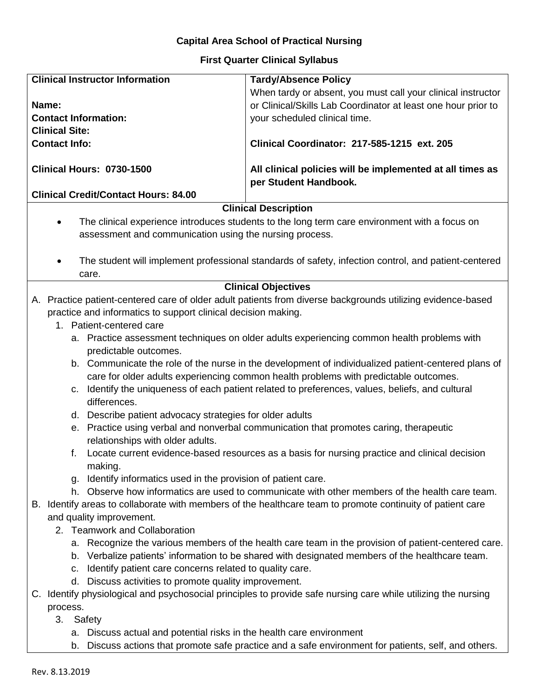## **Capital Area School of Practical Nursing**

## **First Quarter Clinical Syllabus**

| <b>Clinical Instructor Information</b>                                                                                                                                                                                                                                                                             | <b>Tardy/Absence Policy</b>                                                                                    |  |  |
|--------------------------------------------------------------------------------------------------------------------------------------------------------------------------------------------------------------------------------------------------------------------------------------------------------------------|----------------------------------------------------------------------------------------------------------------|--|--|
|                                                                                                                                                                                                                                                                                                                    | When tardy or absent, you must call your clinical instructor                                                   |  |  |
| Name:                                                                                                                                                                                                                                                                                                              | or Clinical/Skills Lab Coordinator at least one hour prior to                                                  |  |  |
| <b>Contact Information:</b>                                                                                                                                                                                                                                                                                        | your scheduled clinical time.                                                                                  |  |  |
| <b>Clinical Site:</b>                                                                                                                                                                                                                                                                                              |                                                                                                                |  |  |
| <b>Contact Info:</b>                                                                                                                                                                                                                                                                                               | Clinical Coordinator: 217-585-1215 ext. 205                                                                    |  |  |
| Clinical Hours: 0730-1500                                                                                                                                                                                                                                                                                          | All clinical policies will be implemented at all times as<br>per Student Handbook.                             |  |  |
| <b>Clinical Credit/Contact Hours: 84.00</b>                                                                                                                                                                                                                                                                        |                                                                                                                |  |  |
|                                                                                                                                                                                                                                                                                                                    | <b>Clinical Description</b>                                                                                    |  |  |
|                                                                                                                                                                                                                                                                                                                    | The clinical experience introduces students to the long term care environment with a focus on                  |  |  |
| assessment and communication using the nursing process.                                                                                                                                                                                                                                                            |                                                                                                                |  |  |
| care.                                                                                                                                                                                                                                                                                                              | The student will implement professional standards of safety, infection control, and patient-centered           |  |  |
|                                                                                                                                                                                                                                                                                                                    | <b>Clinical Objectives</b>                                                                                     |  |  |
| A. Practice patient-centered care of older adult patients from diverse backgrounds utilizing evidence-based                                                                                                                                                                                                        |                                                                                                                |  |  |
| practice and informatics to support clinical decision making.                                                                                                                                                                                                                                                      |                                                                                                                |  |  |
| 1. Patient-centered care                                                                                                                                                                                                                                                                                           |                                                                                                                |  |  |
|                                                                                                                                                                                                                                                                                                                    | a. Practice assessment techniques on older adults experiencing common health problems with                     |  |  |
| predictable outcomes.                                                                                                                                                                                                                                                                                              |                                                                                                                |  |  |
| b. Communicate the role of the nurse in the development of individualized patient-centered plans of<br>care for older adults experiencing common health problems with predictable outcomes.<br>Identify the uniqueness of each patient related to preferences, values, beliefs, and cultural<br>C.<br>differences. |                                                                                                                |  |  |
| d. Describe patient advocacy strategies for older adults                                                                                                                                                                                                                                                           |                                                                                                                |  |  |
|                                                                                                                                                                                                                                                                                                                    | e. Practice using verbal and nonverbal communication that promotes caring, therapeutic                         |  |  |
| relationships with older adults.                                                                                                                                                                                                                                                                                   |                                                                                                                |  |  |
| f.<br>making.                                                                                                                                                                                                                                                                                                      | Locate current evidence-based resources as a basis for nursing practice and clinical decision                  |  |  |
| q.                                                                                                                                                                                                                                                                                                                 |                                                                                                                |  |  |
| Identify informatics used in the provision of patient care.<br>h. Observe how informatics are used to communicate with other members of the health care team.                                                                                                                                                      |                                                                                                                |  |  |
| B. Identify areas to collaborate with members of the healthcare team to promote continuity of patient care                                                                                                                                                                                                         |                                                                                                                |  |  |
| and quality improvement.                                                                                                                                                                                                                                                                                           |                                                                                                                |  |  |
| 2. Teamwork and Collaboration                                                                                                                                                                                                                                                                                      |                                                                                                                |  |  |
|                                                                                                                                                                                                                                                                                                                    | a. Recognize the various members of the health care team in the provision of patient-centered care.            |  |  |
| b. Verbalize patients' information to be shared with designated members of the healthcare team.                                                                                                                                                                                                                    |                                                                                                                |  |  |
| Identify patient care concerns related to quality care.<br>C.                                                                                                                                                                                                                                                      |                                                                                                                |  |  |
| d. Discuss activities to promote quality improvement.                                                                                                                                                                                                                                                              |                                                                                                                |  |  |
|                                                                                                                                                                                                                                                                                                                    | C. Identify physiological and psychosocial principles to provide safe nursing care while utilizing the nursing |  |  |
| process.                                                                                                                                                                                                                                                                                                           |                                                                                                                |  |  |
| 3. Safety                                                                                                                                                                                                                                                                                                          |                                                                                                                |  |  |
| a. Discuss actual and potential risks in the health care environment                                                                                                                                                                                                                                               |                                                                                                                |  |  |
| b.                                                                                                                                                                                                                                                                                                                 | Discuss actions that promote safe practice and a safe environment for patients, self, and others.              |  |  |
|                                                                                                                                                                                                                                                                                                                    |                                                                                                                |  |  |